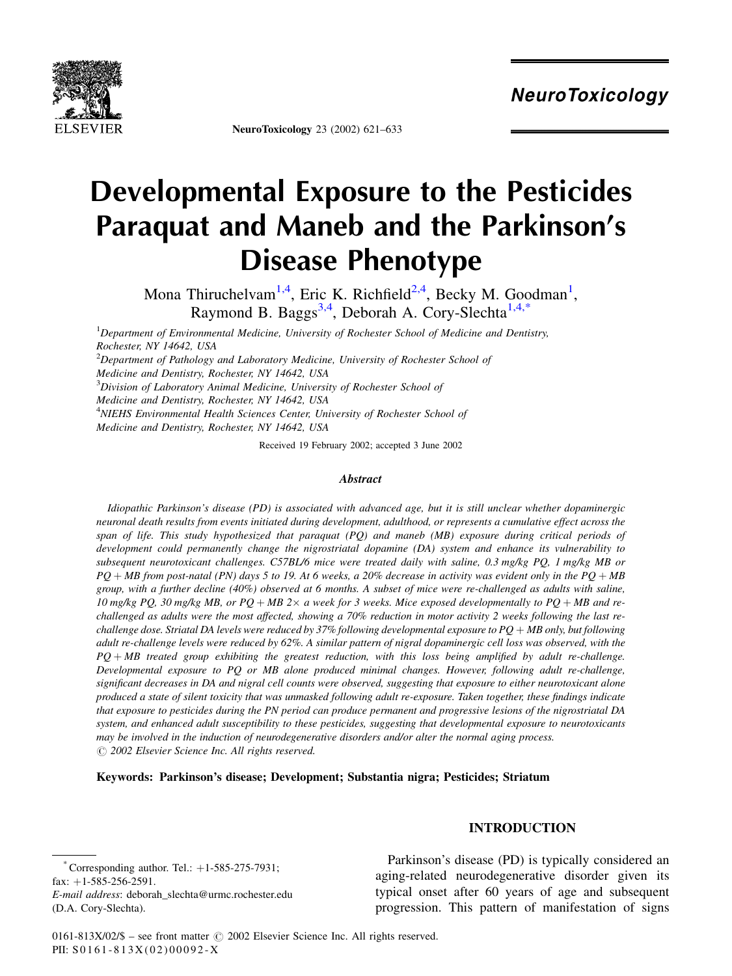

NeuroToxicology 23 (2002) 621–633

# Developmental Exposure to the Pesticides Paraquat and Maneb and the Parkinson's Disease Phenotype

Mona Thiruchelvam<sup>1,4</sup>, Eric K. Richfield<sup>2,4</sup>, Becky M. Goodman<sup>1</sup>, Raymond B. Baggs<sup>3,4</sup>, Deborah A. Cory-Slechta<sup>1,4,\*</sup>

<sup>1</sup>Department of Environmental Medicine, University of Rochester School of Medicine and Dentistry, Rochester, NY 14642, USA

 $^{2}$ Department of Pathology and Laboratory Medicine, University of Rochester School of Medicine and Dentistry, Rochester, NY 14642, USA

<sup>3</sup>Division of Laboratory Animal Medicine, University of Rochester School of

Medicine and Dentistry, Rochester, NY 14642, USA

<sup>4</sup>NIEHS Environmental Health Sciences Center, University of Rochester School of

Medicine and Dentistry, Rochester, NY 14642, USA

Received 19 February 2002; accepted 3 June 2002

#### **Abstract**

Idiopathic Parkinson's disease (PD) is associated with advanced age, but it is still unclear whether dopaminergic neuronal death results from events initiated during development, adulthood, or represents a cumulative effect across the span of life. This study hypothesized that paraquat (PQ) and maneb (MB) exposure during critical periods of development could permanently change the nigrostriatal dopamine (DA) system and enhance its vulnerability to subsequent neurotoxicant challenges. C57BL/6 mice were treated daily with saline, 0.3 mg/kg PQ, 1 mg/kg MB or  $PQ + MB$  from post-natal (PN) days 5 to 19. At 6 weeks, a 20% decrease in activity was evident only in the PQ + MB group, with a further decline (40%) observed at 6 months. A subset of mice were re-challenged as adults with saline, 10 mg/kg PQ, 30 mg/kg MB, or PQ + MB 2 $\times$  a week for 3 weeks. Mice exposed developmentally to PQ + MB and rechallenged as adults were the most affected, showing a 70% reduction in motor activity 2 weeks following the last rechallenge dose. Striatal DA levels were reduced by 37% following developmental exposure to  $PQ + MB$  only, but following adult re-challenge levels were reduced by 62%. A similar pattern of nigral dopaminergic cell loss was observed, with the  $PQ + MB$  treated group exhibiting the greatest reduction, with this loss being amplified by adult re-challenge. Developmental exposure to PQ or MB alone produced minimal changes. However, following adult re-challenge, significant decreases in DA and nigral cell counts were observed, suggesting that exposure to either neurotoxicant alone produced a state of silent toxicity that was unmasked following adult re-exposure. Taken together, these findings indicate that exposure to pesticides during the PN period can produce permanent and progressive lesions of the nigrostriatal DA system, and enhanced adult susceptibility to these pesticides, suggesting that developmental exposure to neurotoxicants may be involved in the induction of neurodegenerative disorders and/or alter the normal aging process.  $O$  2002 Elsevier Science Inc. All rights reserved.

Keywords: Parkinson's disease; Development; Substantia nigra; Pesticides; Striatum

#### INTRODUCTION

Corresponding author. Tel.:  $+1-585-275-7931$ ; fax:  $+1-585-256-2591$ . E-mail address: deborah\_slechta@urmc.rochester.edu (D.A. Cory-Slechta).

Parkinson's disease (PD) is typically considered an aging-related neurodegenerative disorder given its typical onset after 60 years of age and subsequent progression. This pattern of manifestation of signs

0161-813X/02/\$ – see front matter  $\odot$  2002 Elsevier Science Inc. All rights reserved. PII: S 0161-813X(02)00092-X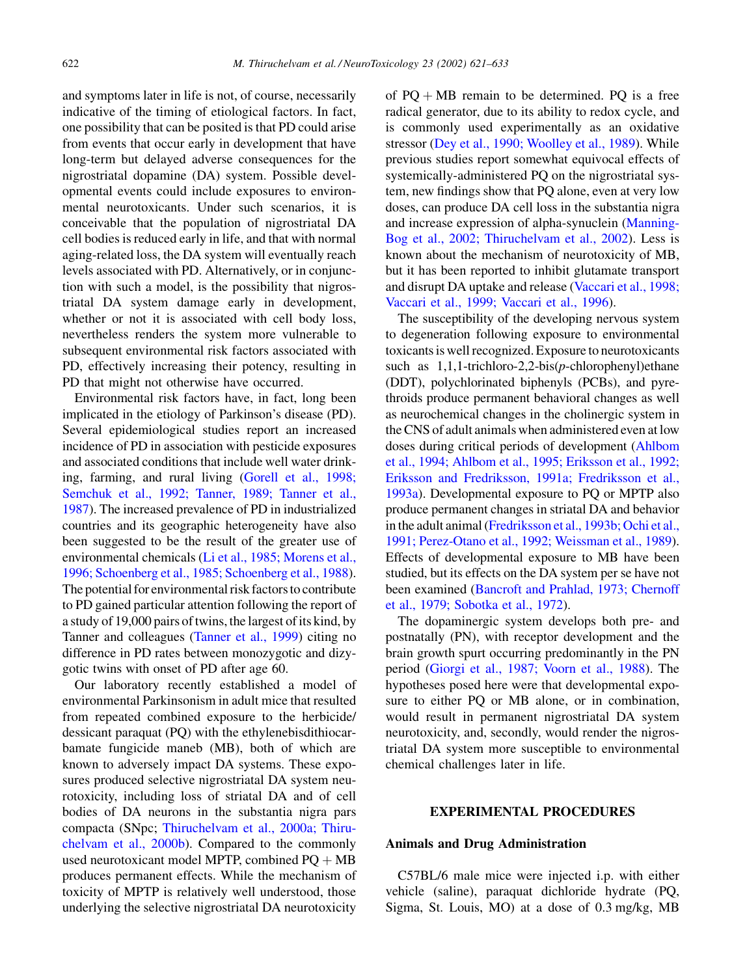and symptoms later in life is not, of course, necessarily indicative of the timing of etiological factors. In fact, one possibility that can be posited is that PD could arise from events that occur early in development that have long-term but delayed adverse consequences for the nigrostriatal dopamine (DA) system. Possible developmental events could include exposures to environmental neurotoxicants. Under such scenarios, it is conceivable that the population of nigrostriatal DA cell bodies is reduced early in life, and that with normal aging-related loss, the DA system will eventually reach levels associated with PD. Alternatively, or in conjunction with such a model, is the possibility that nigrostriatal DA system damage early in development, whether or not it is associated with cell body loss, nevertheless renders the system more vulnerable to subsequent environmental risk factors associated with PD, effectively increasing their potency, resulting in PD that might not otherwise have occurred.

Environmental risk factors have, in fact, long been implicated in the etiology of Parkinson's disease (PD). Several epidemiological studies report an increased incidence of PD in association with pesticide exposures and associated conditions that include well water drinking, farming, and rural living ([Gorell et al., 1998;](#page-11-0) [Semchuk et al., 1992; Tanner, 1989; Tanner et al.,](#page-11-0) [1987](#page-11-0)). The increased prevalence of PD in industrialized countries and its geographic heterogeneity have also been suggested to be the result of the greater use of environmental chemicals [\(Li et al., 1985; Morens et al.,](#page-11-0) [1996; Schoenberg et al., 1985; Schoenberg et al., 1988](#page-11-0)). The potential for environmental risk factors to contribute to PD gained particular attention following the report of a study of 19,000 pairs of twins, the largest of its kind, by Tanner and colleagues ([Tanner et al., 1999\)](#page-11-0) citing no difference in PD rates between monozygotic and dizygotic twins with onset of PD after age 60.

Our laboratory recently established a model of environmental Parkinsonism in adult mice that resulted from repeated combined exposure to the herbicide/ dessicant paraquat (PQ) with the ethylenebisdithiocarbamate fungicide maneb (MB), both of which are known to adversely impact DA systems. These exposures produced selective nigrostriatal DA system neurotoxicity, including loss of striatal DA and of cell bodies of DA neurons in the substantia nigra pars compacta (SNpc; [Thiruchelvam et al., 2000a; Thiru](#page-11-0)[chelvam et al., 2000b](#page-11-0)). Compared to the commonly used neurotoxicant model MPTP, combined  $PQ + MB$ produces permanent effects. While the mechanism of toxicity of MPTP is relatively well understood, those underlying the selective nigrostriatal DA neurotoxicity of  $PQ + MB$  remain to be determined. PQ is a free radical generator, due to its ability to redox cycle, and is commonly used experimentally as an oxidative stressor [\(Dey et al., 1990; Woolley et al., 1989\)](#page-10-0). While previous studies report somewhat equivocal effects of systemically-administered PQ on the nigrostriatal system, new findings show that PQ alone, even at very low doses, can produce DA cell loss in the substantia nigra and increase expression of alpha-synuclein ([Manning-](#page-11-0)[Bog et al., 2002; Thiruchelvam et al., 2002](#page-11-0)). Less is known about the mechanism of neurotoxicity of MB, but it has been reported to inhibit glutamate transport and disrupt DA uptake and release [\(Vaccari et al., 1998;](#page-12-0) [Vaccari et al., 1999; Vaccari et al., 1996](#page-12-0)).

The susceptibility of the developing nervous system to degeneration following exposure to environmental toxicants is well recognized. Exposure to neurotoxicants such as  $1,1,1$ -trichloro-2,2-bis(p-chlorophenyl)ethane (DDT), polychlorinated biphenyls (PCBs), and pyrethroids produce permanent behavioral changes as well as neurochemical changes in the cholinergic system in the CNS of adult animals when administered even at low doses during critical periods of development [\(Ahlbom](#page-10-0) [et al., 1994; Ahlbom et al., 1995; Eriksson et al., 1992;](#page-10-0) [Eriksson and Fredriksson, 1991a; Fredriksson et al.,](#page-10-0) [1993a](#page-10-0)). Developmental exposure to PQ or MPTP also produce permanent changes in striatal DA and behavior in the adult animal ([Fredriksson et al., 1993b; Ochi et al.,](#page-11-0) [1991; Perez-Otano et al., 1992; Weissman et al., 1989](#page-11-0)). Effects of developmental exposure to MB have been studied, but its effects on the DA system per se have not been examined ([Bancroft and Prahlad, 1973; Chernoff](#page-10-0) [et al., 1979; Sobotka et al., 1972](#page-10-0)).

The dopaminergic system develops both pre- and postnatally (PN), with receptor development and the brain growth spurt occurring predominantly in the PN period ([Giorgi et al., 1987; Voorn et al., 1988\)](#page-11-0). The hypotheses posed here were that developmental exposure to either PQ or MB alone, or in combination, would result in permanent nigrostriatal DA system neurotoxicity, and, secondly, would render the nigrostriatal DA system more susceptible to environmental chemical challenges later in life.

#### EXPERIMENTAL PROCEDURES

#### Animals and Drug Administration

C57BL/6 male mice were injected i.p. with either vehicle (saline), paraquat dichloride hydrate (PQ, Sigma, St. Louis, MO) at a dose of 0.3 mg/kg, MB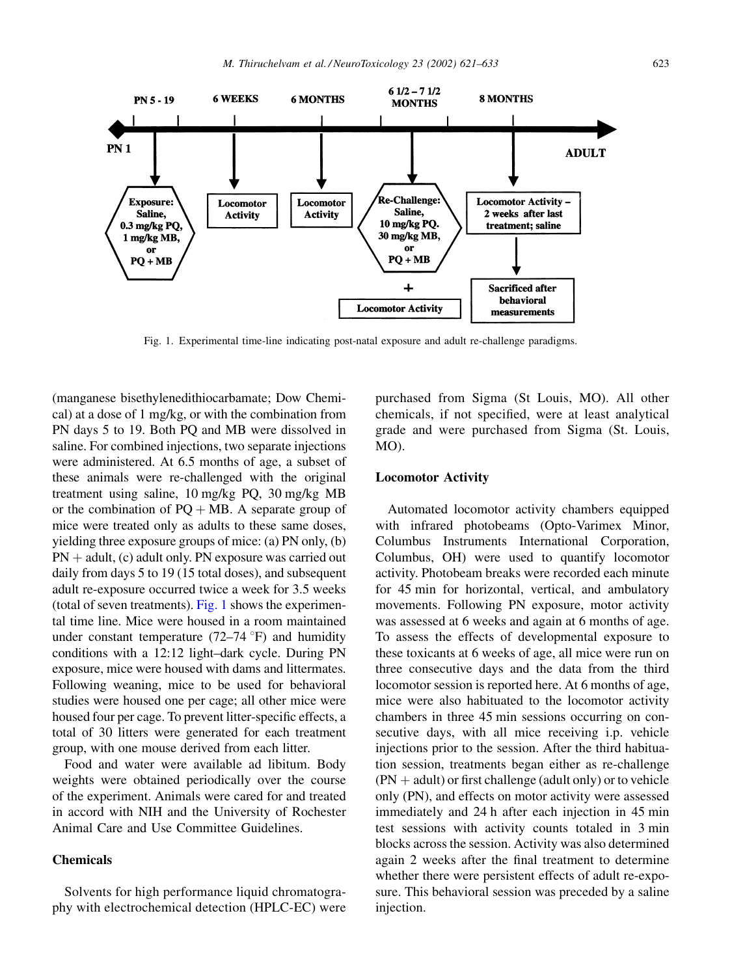

Fig. 1. Experimental time-line indicating post-natal exposure and adult re-challenge paradigms.

(manganese bisethylenedithiocarbamate; Dow Chemical) at a dose of 1 mg/kg, or with the combination from PN days 5 to 19. Both PQ and MB were dissolved in saline. For combined injections, two separate injections were administered. At 6.5 months of age, a subset of these animals were re-challenged with the original treatment using saline, 10 mg/kg PQ, 30 mg/kg MB or the combination of  $PQ + MB$ . A separate group of mice were treated only as adults to these same doses, yielding three exposure groups of mice: (a) PN only, (b)  $PN + adult$ , (c) adult only. PN exposure was carried out daily from days 5 to 19 (15 total doses), and subsequent adult re-exposure occurred twice a week for 3.5 weeks (total of seven treatments). Fig. 1 shows the experimental time line. Mice were housed in a room maintained under constant temperature  $(72-74 \degree F)$  and humidity conditions with a 12:12 light–dark cycle. During PN exposure, mice were housed with dams and littermates. Following weaning, mice to be used for behavioral studies were housed one per cage; all other mice were housed four per cage. To prevent litter-specific effects, a total of 30 litters were generated for each treatment group, with one mouse derived from each litter.

Food and water were available ad libitum. Body weights were obtained periodically over the course of the experiment. Animals were cared for and treated in accord with NIH and the University of Rochester Animal Care and Use Committee Guidelines.

## Chemicals

Solvents for high performance liquid chromatography with electrochemical detection (HPLC-EC) were purchased from Sigma (St Louis, MO). All other chemicals, if not specified, were at least analytical grade and were purchased from Sigma (St. Louis, MO).

#### Locomotor Activity

Automated locomotor activity chambers equipped with infrared photobeams (Opto-Varimex Minor, Columbus Instruments International Corporation, Columbus, OH) were used to quantify locomotor activity. Photobeam breaks were recorded each minute for 45 min for horizontal, vertical, and ambulatory movements. Following PN exposure, motor activity was assessed at 6 weeks and again at 6 months of age. To assess the effects of developmental exposure to these toxicants at 6 weeks of age, all mice were run on three consecutive days and the data from the third locomotor session is reported here. At 6 months of age, mice were also habituated to the locomotor activity chambers in three 45 min sessions occurring on consecutive days, with all mice receiving i.p. vehicle injections prior to the session. After the third habituation session, treatments began either as re-challenge  $(PN + adult)$  or first challenge (adult only) or to vehicle only (PN), and effects on motor activity were assessed immediately and 24 h after each injection in 45 min test sessions with activity counts totaled in 3 min blocks across the session. Activity was also determined again 2 weeks after the final treatment to determine whether there were persistent effects of adult re-exposure. This behavioral session was preceded by a saline injection.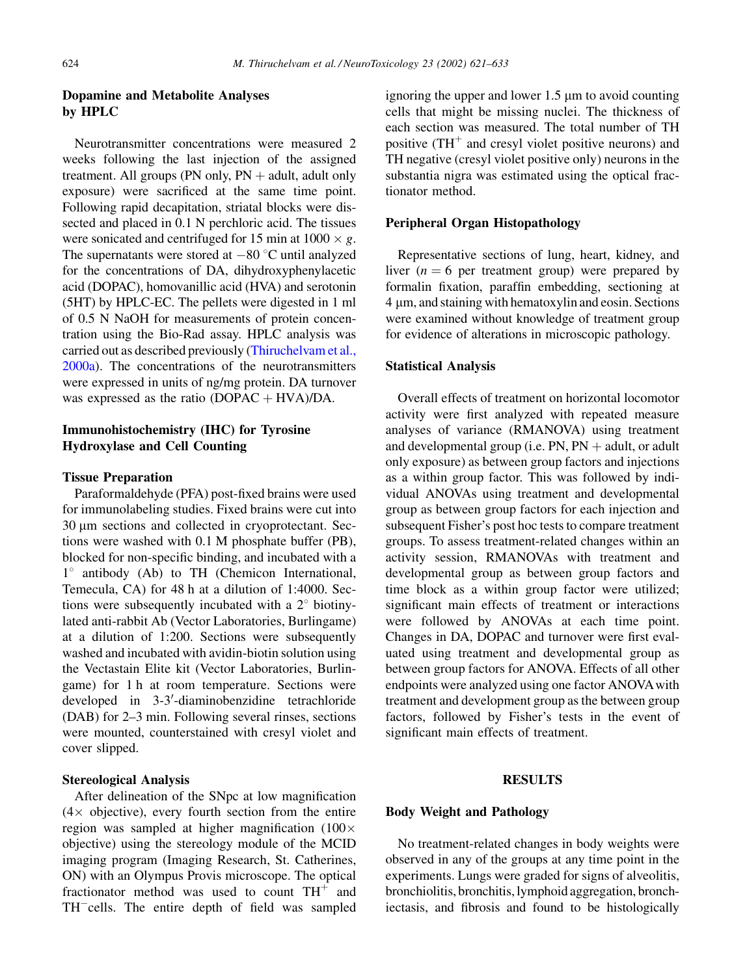# Dopamine and Metabolite Analyses by HPLC

Neurotransmitter concentrations were measured 2 weeks following the last injection of the assigned treatment. All groups (PN only,  $PN +$  adult, adult only exposure) were sacrificed at the same time point. Following rapid decapitation, striatal blocks were dissected and placed in 0.1 N perchloric acid. The tissues were sonicated and centrifuged for 15 min at  $1000 \times g$ . The supernatants were stored at  $-80$  °C until analyzed for the concentrations of DA, dihydroxyphenylacetic acid (DOPAC), homovanillic acid (HVA) and serotonin (5HT) by HPLC-EC. The pellets were digested in 1 ml of 0.5 N NaOH for measurements of protein concentration using the Bio-Rad assay. HPLC analysis was carried out as described previously [\(Thiruchelvam et al.,](#page-11-0) [2000a](#page-11-0)). The concentrations of the neurotransmitters were expressed in units of ng/mg protein. DA turnover was expressed as the ratio  $(DOPAC + HVA)/DA$ .

# Immunohistochemistry (IHC) for Tyrosine Hydroxylase and Cell Counting

#### Tissue Preparation

Paraformaldehyde (PFA) post-fixed brains were used for immunolabeling studies. Fixed brains were cut into 30 µm sections and collected in cryoprotectant. Sections were washed with 0.1 M phosphate buffer (PB), blocked for non-specific binding, and incubated with a 1° antibody (Ab) to TH (Chemicon International, Temecula, CA) for 48 h at a dilution of 1:4000. Sections were subsequently incubated with a  $2^{\circ}$  biotinylated anti-rabbit Ab (Vector Laboratories, Burlingame) at a dilution of 1:200. Sections were subsequently washed and incubated with avidin-biotin solution using the Vectastain Elite kit (Vector Laboratories, Burlingame) for 1 h at room temperature. Sections were developed in 3-3'-diaminobenzidine tetrachloride (DAB) for 2–3 min. Following several rinses, sections were mounted, counterstained with cresyl violet and cover slipped.

#### Stereological Analysis

After delineation of the SNpc at low magnification  $(4 \times$  objective), every fourth section from the entire region was sampled at higher magnification (100 $\times$ objective) using the stereology module of the MCID imaging program (Imaging Research, St. Catherines, ON) with an Olympus Provis microscope. The optical fractionator method was used to count  $TH^+$  and TH<sup>-</sup>cells. The entire depth of field was sampled ignoring the upper and lower  $1.5 \mu m$  to avoid counting cells that might be missing nuclei. The thickness of each section was measured. The total number of TH positive  $(TH^+$  and cresyl violet positive neurons) and TH negative (cresyl violet positive only) neurons in the substantia nigra was estimated using the optical fractionator method.

#### Peripheral Organ Histopathology

Representative sections of lung, heart, kidney, and liver ( $n = 6$  per treatment group) were prepared by formalin fixation, paraffin embedding, sectioning at  $4 \mu m$ , and staining with hematoxylin and eosin. Sections were examined without knowledge of treatment group for evidence of alterations in microscopic pathology.

### Statistical Analysis

Overall effects of treatment on horizontal locomotor activity were first analyzed with repeated measure analyses of variance (RMANOVA) using treatment and developmental group (i.e.  $PN$ ,  $PN$   $+$  adult, or adult only exposure) as between group factors and injections as a within group factor. This was followed by individual ANOVAs using treatment and developmental group as between group factors for each injection and subsequent Fisher's post hoc tests to compare treatment groups. To assess treatment-related changes within an activity session, RMANOVAs with treatment and developmental group as between group factors and time block as a within group factor were utilized; significant main effects of treatment or interactions were followed by ANOVAs at each time point. Changes in DA, DOPAC and turnover were first evaluated using treatment and developmental group as between group factors for ANOVA. Effects of all other endpoints were analyzed using one factor ANOVAwith treatment and development group as the between group factors, followed by Fisher's tests in the event of significant main effects of treatment.

#### RESULTS

#### Body Weight and Pathology

No treatment-related changes in body weights were observed in any of the groups at any time point in the experiments. Lungs were graded for signs of alveolitis, bronchiolitis, bronchitis, lymphoid aggregation, bronchiectasis, and fibrosis and found to be histologically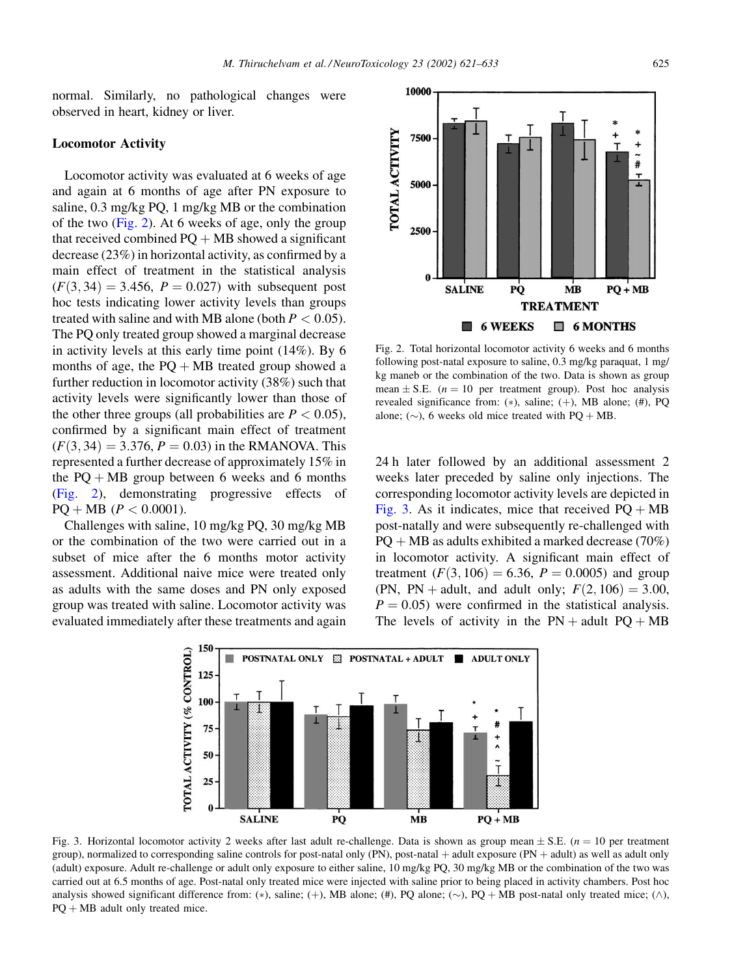normal. Similarly, no pathological changes were observed in heart, kidney or liver.

#### Locomotor Activity

Locomotor activity was evaluated at 6 weeks of age and again at 6 months of age after PN exposure to saline, 0.3 mg/kg PQ, 1 mg/kg MB or the combination of the two (Fig. 2). At 6 weeks of age, only the group that received combined  $PQ + MB$  showed a significant decrease (23%) in horizontal activity, as confirmed by a main effect of treatment in the statistical analysis  $(F(3, 34) = 3.456, P = 0.027)$  with subsequent post hoc tests indicating lower activity levels than groups treated with saline and with MB alone (both  $P < 0.05$ ). The PQ only treated group showed a marginal decrease in activity levels at this early time point (14%). By 6 months of age, the  $PQ + MB$  treated group showed a further reduction in locomotor activity (38%) such that activity levels were significantly lower than those of the other three groups (all probabilities are  $P < 0.05$ ), confirmed by a significant main effect of treatment  $(F(3, 34) = 3.376, P = 0.03)$  in the RMANOVA. This represented a further decrease of approximately 15% in the  $PQ + MB$  group between 6 weeks and 6 months (Fig. 2), demonstrating progressive effects of  $PQ + MB$  ( $P < 0.0001$ ).

Challenges with saline, 10 mg/kg PQ, 30 mg/kg MB or the combination of the two were carried out in a subset of mice after the 6 months motor activity assessment. Additional naive mice were treated only as adults with the same doses and PN only exposed group was treated with saline. Locomotor activity was evaluated immediately after these treatments and again



Fig. 2. Total horizontal locomotor activity 6 weeks and 6 months following post-natal exposure to saline, 0.3 mg/kg paraquat, 1 mg/ kg maneb or the combination of the two. Data is shown as group mean  $\pm$  S.E. (*n* = 10 per treatment group). Post hoc analysis revealed significance from: (\*), saline; (+), MB alone; (#), PQ alone; ( $\sim$ ), 6 weeks old mice treated with PQ + MB.

24 h later followed by an additional assessment 2 weeks later preceded by saline only injections. The corresponding locomotor activity levels are depicted in Fig. 3. As it indicates, mice that received  $PQ + MB$ post-natally and were subsequently re-challenged with  $PO + MB$  as adults exhibited a marked decrease (70%) in locomotor activity. A significant main effect of treatment  $(F(3, 106) = 6.36, P = 0.0005)$  and group (PN, PN + adult, and adult only;  $F(2, 106) = 3.00$ ,  $P = 0.05$ ) were confirmed in the statistical analysis. The levels of activity in the  $PN + adult PQ + MB$ 



Fig. 3. Horizontal locomotor activity 2 weeks after last adult re-challenge. Data is shown as group mean  $\pm$  S.E. ( $n = 10$  per treatment group), normalized to corresponding saline controls for post-natal only (PN), post-natal  $+$  adult exposure (PN  $+$  adult) as well as adult only (adult) exposure. Adult re-challenge or adult only exposure to either saline, 10 mg/kg PQ, 30 mg/kg MB or the combination of the two was carried out at 6.5 months of age. Post-natal only treated mice were injected with saline prior to being placed in activity chambers. Post hoc analysis showed significant difference from: (\*), saline; (+), MB alone; (#), PQ alone; (~), PQ + MB post-natal only treated mice; ( $\land$ ),  $PQ + MB$  adult only treated mice.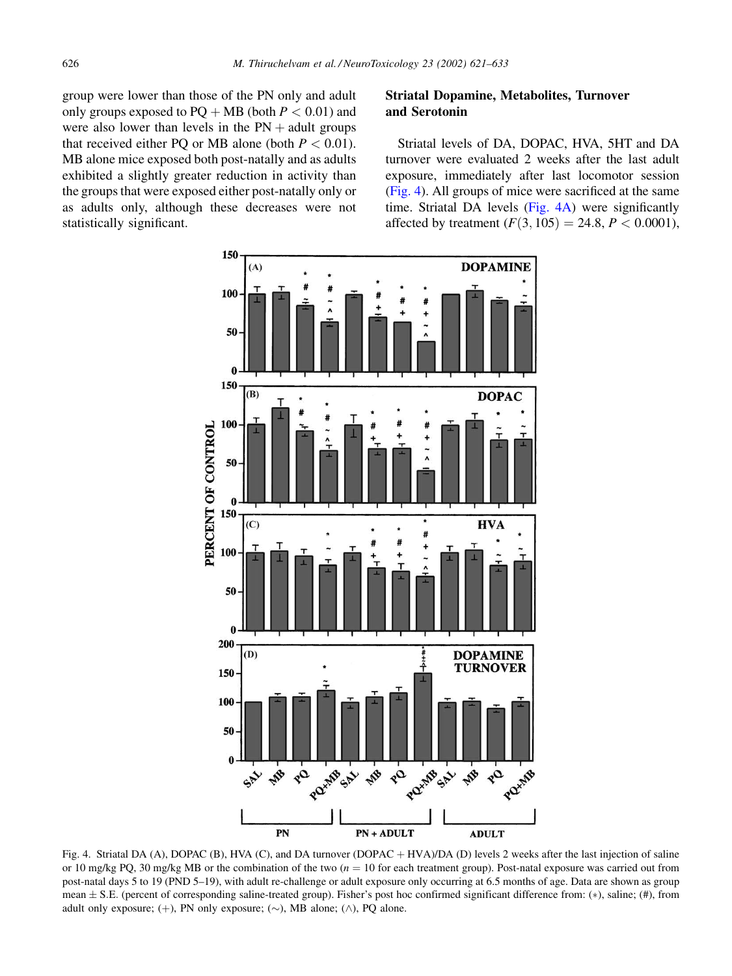<span id="page-5-0"></span>group were lower than those of the PN only and adult only groups exposed to  $PQ + MB$  (both  $P < 0.01$ ) and were also lower than levels in the  $PN +$  adult groups that received either PQ or MB alone (both  $P < 0.01$ ). MB alone mice exposed both post-natally and as adults exhibited a slightly greater reduction in activity than the groups that were exposed either post-natally only or as adults only, although these decreases were not statistically significant.

## Striatal Dopamine, Metabolites, Turnover and Serotonin

Striatal levels of DA, DOPAC, HVA, 5HT and DA turnover were evaluated 2 weeks after the last adult exposure, immediately after last locomotor session (Fig. 4). All groups of mice were sacrificed at the same time. Striatal DA levels (Fig. 4A) were significantly affected by treatment  $(F(3, 105) = 24.8, P < 0.0001)$ ,



Fig. 4. Striatal DA (A), DOPAC (B), HVA (C), and DA turnover (DOPAC + HVA)/DA (D) levels 2 weeks after the last injection of saline or 10 mg/kg PQ, 30 mg/kg MB or the combination of the two  $(n = 10$  for each treatment group). Post-natal exposure was carried out from post-natal days 5 to 19 (PND 5–19), with adult re-challenge or adult exposure only occurring at 6.5 months of age. Data are shown as group mean  $\pm$  S.E. (percent of corresponding saline-treated group). Fisher's post hoc confirmed significant difference from: (\*), saline; (#), from adult only exposure;  $(+)$ , PN only exposure;  $(\sim)$ , MB alone;  $(\land)$ , PQ alone.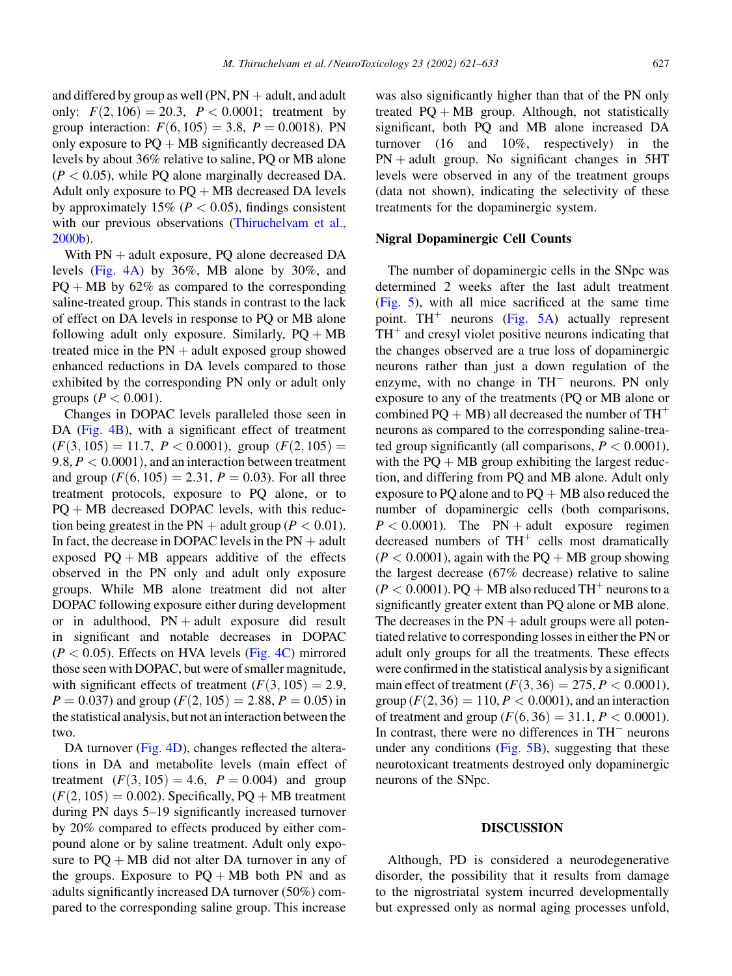and differed by group as well (PN,  $PN +$  adult, and adult only:  $F(2, 106) = 20.3$ ,  $P < 0.0001$ ; treatment by group interaction:  $F(6, 105) = 3.8$ ,  $P = 0.0018$ ). PN only exposure to  $PQ + MB$  significantly decreased DA levels by about 36% relative to saline, PQ or MB alone  $(P < 0.05)$ , while PO alone marginally decreased DA. Adult only exposure to  $PQ + MB$  decreased DA levels by approximately 15% ( $P < 0.05$ ), findings consistent with our previous observations [\(Thiruchelvam et al.,](#page-11-0) [2000b\)](#page-11-0).

With  $PN +$  adult exposure, PQ alone decreased DA levels [\(Fig. 4A\)](#page-5-0) by 36%, MB alone by 30%, and  $PO + MB$  by 62% as compared to the corresponding saline-treated group. This stands in contrast to the lack of effect on DA levels in response to PQ or MB alone following adult only exposure. Similarly,  $PQ + MB$ treated mice in the  $PN$  + adult exposed group showed enhanced reductions in DA levels compared to those exhibited by the corresponding PN only or adult only groups ( $P < 0.001$ ).

Changes in DOPAC levels paralleled those seen in DA [\(Fig. 4B](#page-5-0)), with a significant effect of treatment  $(F(3, 105) = 11.7, P < 0.0001)$ , group  $(F(2, 105)) =$  $9.8, P < 0.0001$ , and an interaction between treatment and group  $(F(6, 105) = 2.31, P = 0.03)$ . For all three treatment protocols, exposure to PQ alone, or to  $PQ + MB$  decreased DOPAC levels, with this reduction being greatest in the PN + adult group ( $P < 0.01$ ). In fact, the decrease in DOPAC levels in the  $PN +$  adult exposed  $PQ + MB$  appears additive of the effects observed in the PN only and adult only exposure groups. While MB alone treatment did not alter DOPAC following exposure either during development or in adulthood,  $PN + adult$  exposure did result in significant and notable decreases in DOPAC  $(P < 0.05)$ . Effects on HVA levels [\(Fig. 4C](#page-5-0)) mirrored those seen with DOPAC, but were of smaller magnitude, with significant effects of treatment  $(F(3, 105) = 2.9,$  $P = 0.037$  and group  $(F(2, 105) = 2.88, P = 0.05)$  in the statistical analysis, but not an interaction between the two.

DA turnover ([Fig. 4D](#page-5-0)), changes reflected the alterations in DA and metabolite levels (main effect of treatment  $(F(3, 105) = 4.6, P = 0.004)$  and group  $(F(2, 105) = 0.002)$ . Specifically, PQ + MB treatment during PN days 5–19 significantly increased turnover by 20% compared to effects produced by either compound alone or by saline treatment. Adult only exposure to  $PQ + MB$  did not alter DA turnover in any of the groups. Exposure to  $PQ + MB$  both PN and as adults significantly increased DA turnover (50%) compared to the corresponding saline group. This increase

was also significantly higher than that of the PN only treated  $PO + MB$  group. Although, not statistically significant, both PQ and MB alone increased DA turnover (16 and 10%, respectively) in the  $PN + adult$  group. No significant changes in 5HT levels were observed in any of the treatment groups (data not shown), indicating the selectivity of these treatments for the dopaminergic system.

#### Nigral Dopaminergic Cell Counts

The number of dopaminergic cells in the SNpc was determined 2 weeks after the last adult treatment [\(Fig. 5](#page-7-0)), with all mice sacrificed at the same time point. TH<sup>+</sup> neurons ([Fig. 5A\)](#page-7-0) actually represent  $TH^+$  and cresyl violet positive neurons indicating that the changes observed are a true loss of dopaminergic neurons rather than just a down regulation of the enzyme, with no change in  $TH^-$  neurons. PN only exposure to any of the treatments (PQ or MB alone or combined PQ + MB) all decreased the number of  $TH^+$ neurons as compared to the corresponding saline-treated group significantly (all comparisons,  $P < 0.0001$ ), with the  $PQ + MB$  group exhibiting the largest reduction, and differing from PQ and MB alone. Adult only exposure to PO alone and to  $PQ + MB$  also reduced the number of dopaminergic cells (both comparisons,  $P < 0.0001$ ). The PN + adult exposure regimen decreased numbers of  $TH^+$  cells most dramatically  $(P < 0.0001)$ , again with the PQ + MB group showing the largest decrease (67% decrease) relative to saline  $(P < 0.0001)$ . PQ + MB also reduced TH<sup>+</sup> neurons to a significantly greater extent than PQ alone or MB alone. The decreases in the  $PN +$  adult groups were all potentiated relative to corresponding losses in either the PN or adult only groups for all the treatments. These effects were confirmed in the statistical analysis by a significant main effect of treatment  $(F(3, 36) = 275, P < 0.0001)$ , group  $(F(2, 36) = 110, P < 0.0001)$ , and an interaction of treatment and group  $(F(6, 36) = 31.1, P < 0.0001)$ . In contrast, there were no differences in  $TH$ <sup>-</sup> neurons under any conditions [\(Fig. 5B\)](#page-7-0), suggesting that these neurotoxicant treatments destroyed only dopaminergic neurons of the SNpc.

#### DISCUSSION

Although, PD is considered a neurodegenerative disorder, the possibility that it results from damage to the nigrostriatal system incurred developmentally but expressed only as normal aging processes unfold,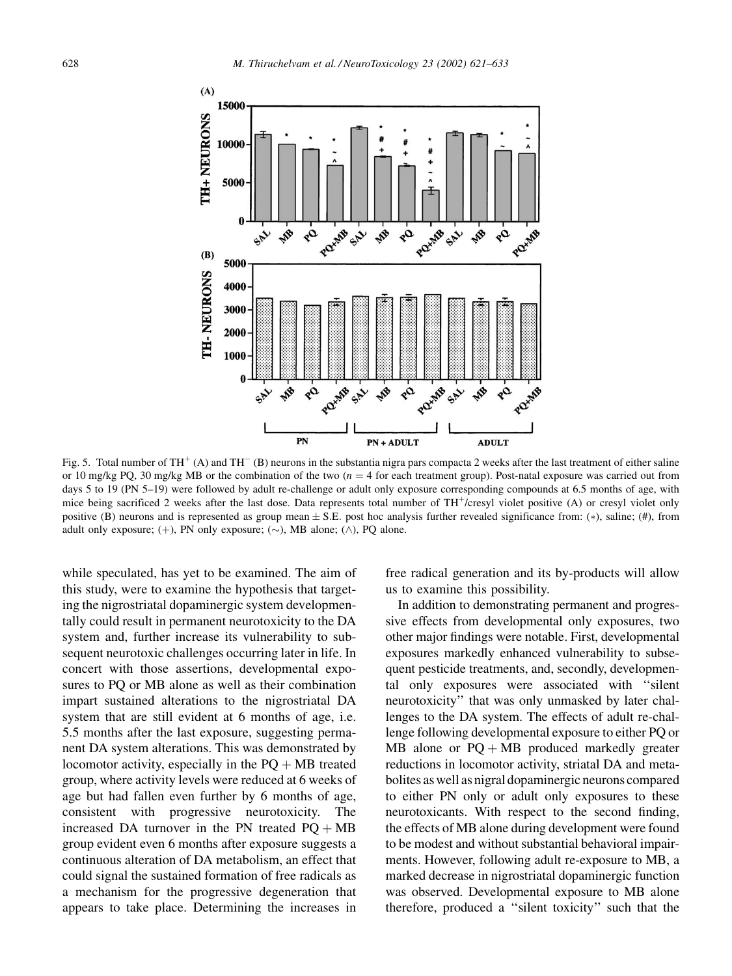<span id="page-7-0"></span>

Fig. 5. Total number of TH<sup>+</sup> (A) and TH<sup>-</sup> (B) neurons in the substantia nigra pars compacta 2 weeks after the last treatment of either saline or 10 mg/kg PQ, 30 mg/kg MB or the combination of the two ( $n = 4$  for each treatment group). Post-natal exposure was carried out from days 5 to 19 (PN 5–19) were followed by adult re-challenge or adult only exposure corresponding compounds at 6.5 months of age, with mice being sacrificed 2 weeks after the last dose. Data represents total number of  $TH<sup>+</sup>/cresyl$  violet positive (A) or cresyl violet only positive (B) neurons and is represented as group mean  $\pm$  S.E. post hoc analysis further revealed significance from: (\*), saline; (#), from adult only exposure;  $(+)$ , PN only exposure;  $(\sim)$ , MB alone;  $(\land)$ , PQ alone.

while speculated, has yet to be examined. The aim of this study, were to examine the hypothesis that targeting the nigrostriatal dopaminergic system developmentally could result in permanent neurotoxicity to the DA system and, further increase its vulnerability to subsequent neurotoxic challenges occurring later in life. In concert with those assertions, developmental exposures to PQ or MB alone as well as their combination impart sustained alterations to the nigrostriatal DA system that are still evident at 6 months of age, i.e. 5.5 months after the last exposure, suggesting permanent DA system alterations. This was demonstrated by locomotor activity, especially in the  $PO + MB$  treated group, where activity levels were reduced at 6 weeks of age but had fallen even further by 6 months of age, consistent with progressive neurotoxicity. The increased DA turnover in the PN treated  $PQ + MB$ group evident even 6 months after exposure suggests a continuous alteration of DA metabolism, an effect that could signal the sustained formation of free radicals as a mechanism for the progressive degeneration that appears to take place. Determining the increases in free radical generation and its by-products will allow us to examine this possibility.

In addition to demonstrating permanent and progressive effects from developmental only exposures, two other major findings were notable. First, developmental exposures markedly enhanced vulnerability to subsequent pesticide treatments, and, secondly, developmental only exposures were associated with ''silent neurotoxicity'' that was only unmasked by later challenges to the DA system. The effects of adult re-challenge following developmental exposure to either PQ or MB alone or  $PQ + MB$  produced markedly greater reductions in locomotor activity, striatal DA and metabolites as well as nigral dopaminergic neurons compared to either PN only or adult only exposures to these neurotoxicants. With respect to the second finding, the effects of MB alone during development were found to be modest and without substantial behavioral impairments. However, following adult re-exposure to MB, a marked decrease in nigrostriatal dopaminergic function was observed. Developmental exposure to MB alone therefore, produced a ''silent toxicity'' such that the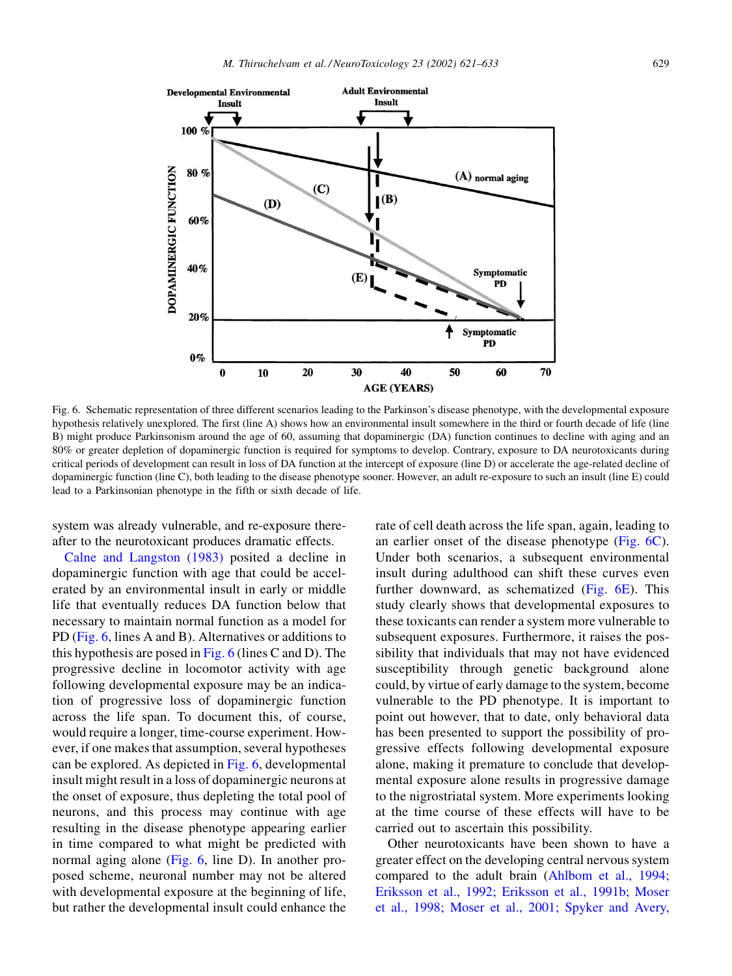

Fig. 6. Schematic representation of three different scenarios leading to the Parkinson's disease phenotype, with the developmental exposure hypothesis relatively unexplored. The first (line A) shows how an environmental insult somewhere in the third or fourth decade of life (line B) might produce Parkinsonism around the age of 60, assuming that dopaminergic (DA) function continues to decline with aging and an 80% or greater depletion of dopaminergic function is required for symptoms to develop. Contrary, exposure to DA neurotoxicants during critical periods of development can result in loss of DA function at the intercept of exposure (line D) or accelerate the age-related decline of dopaminergic function (line C), both leading to the disease phenotype sooner. However, an adult re-exposure to such an insult (line E) could lead to a Parkinsonian phenotype in the fifth or sixth decade of life.

system was already vulnerable, and re-exposure thereafter to the neurotoxicant produces dramatic effects.

[Calne and Langston \(1983\)](#page-10-0) posited a decline in dopaminergic function with age that could be accelerated by an environmental insult in early or middle life that eventually reduces DA function below that necessary to maintain normal function as a model for PD (Fig. 6, lines A and B). Alternatives or additions to this hypothesis are posed in Fig. 6 (lines C and D). The progressive decline in locomotor activity with age following developmental exposure may be an indication of progressive loss of dopaminergic function across the life span. To document this, of course, would require a longer, time-course experiment. However, if one makes that assumption, several hypotheses can be explored. As depicted in Fig. 6, developmental insult might result in a loss of dopaminergic neurons at the onset of exposure, thus depleting the total pool of neurons, and this process may continue with age resulting in the disease phenotype appearing earlier in time compared to what might be predicted with normal aging alone (Fig. 6, line D). In another proposed scheme, neuronal number may not be altered with developmental exposure at the beginning of life, but rather the developmental insult could enhance the

rate of cell death across the life span, again, leading to an earlier onset of the disease phenotype (Fig. 6C). Under both scenarios, a subsequent environmental insult during adulthood can shift these curves even further downward, as schematized (Fig. 6E). This study clearly shows that developmental exposures to these toxicants can render a system more vulnerable to subsequent exposures. Furthermore, it raises the possibility that individuals that may not have evidenced susceptibility through genetic background alone could, by virtue of early damage to the system, become vulnerable to the PD phenotype. It is important to point out however, that to date, only behavioral data has been presented to support the possibility of progressive effects following developmental exposure alone, making it premature to conclude that developmental exposure alone results in progressive damage to the nigrostriatal system. More experiments looking at the time course of these effects will have to be carried out to ascertain this possibility.

Other neurotoxicants have been shown to have a greater effect on the developing central nervous system compared to the adult brain [\(Ahlbom et al., 1994;](#page-10-0) [Eriksson et al., 1992; Eriksson et al., 1991b; Moser](#page-10-0) [et al., 1998; Moser et al., 2001; Spyker and Avery,](#page-10-0)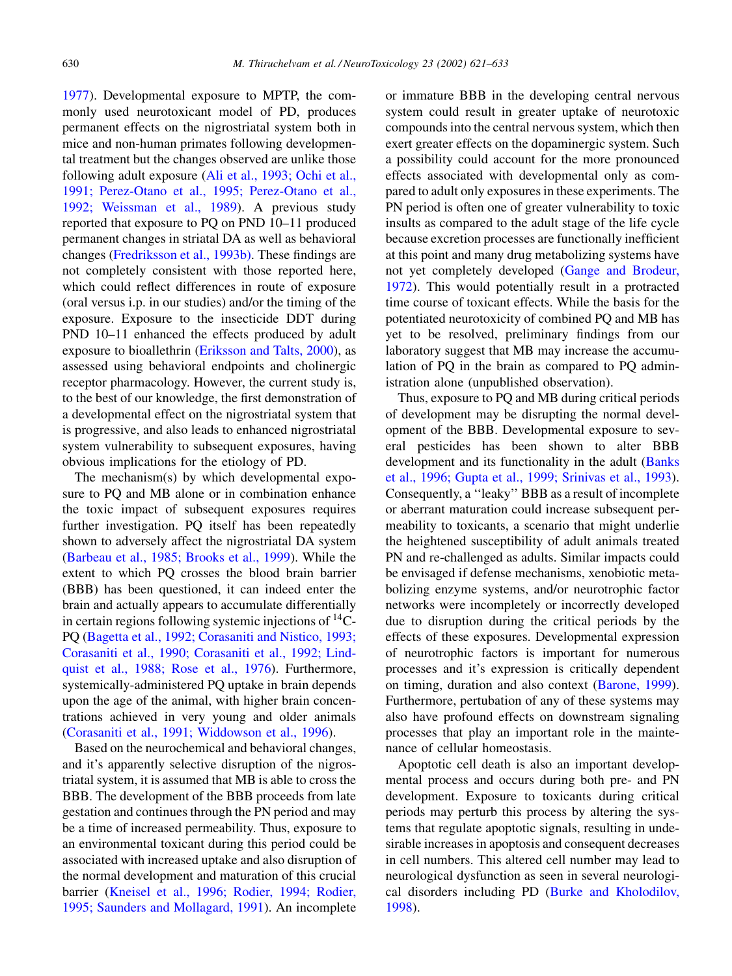[1977\)](#page-10-0). Developmental exposure to MPTP, the commonly used neurotoxicant model of PD, produces permanent effects on the nigrostriatal system both in mice and non-human primates following developmental treatment but the changes observed are unlike those following adult exposure ([Ali et al., 1993; Ochi et al.,](#page-10-0) [1991; Perez-Otano et al., 1995; Perez-Otano et al.,](#page-10-0) [1992; Weissman et al., 1989\)](#page-10-0). A previous study reported that exposure to PQ on PND 10–11 produced permanent changes in striatal DA as well as behavioral changes [\(Fredriksson et al., 1993b\)](#page-11-0). These findings are not completely consistent with those reported here, which could reflect differences in route of exposure (oral versus i.p. in our studies) and/or the timing of the exposure. Exposure to the insecticide DDT during PND 10–11 enhanced the effects produced by adult exposure to bioallethrin [\(Eriksson and Talts, 2000](#page-11-0)), as assessed using behavioral endpoints and cholinergic receptor pharmacology. However, the current study is, to the best of our knowledge, the first demonstration of a developmental effect on the nigrostriatal system that is progressive, and also leads to enhanced nigrostriatal system vulnerability to subsequent exposures, having obvious implications for the etiology of PD.

The mechanism(s) by which developmental exposure to PQ and MB alone or in combination enhance the toxic impact of subsequent exposures requires further investigation. PQ itself has been repeatedly shown to adversely affect the nigrostriatal DA system [\(Barbeau et al., 1985; Brooks et al., 1999](#page-10-0)). While the extent to which PQ crosses the blood brain barrier (BBB) has been questioned, it can indeed enter the brain and actually appears to accumulate differentially in certain regions following systemic injections of  $^{14}C$ -PQ ([Bagetta et al., 1992; Corasaniti and Nistico, 1993;](#page-10-0) [Corasaniti et al., 1990; Corasaniti et al., 1992; Lind](#page-10-0)[quist et al., 1988; Rose et al., 1976\)](#page-10-0). Furthermore, systemically-administered PQ uptake in brain depends upon the age of the animal, with higher brain concentrations achieved in very young and older animals [\(Corasaniti et al., 1991; Widdowson et al., 1996](#page-10-0)).

Based on the neurochemical and behavioral changes, and it's apparently selective disruption of the nigrostriatal system, it is assumed that MB is able to cross the BBB. The development of the BBB proceeds from late gestation and continues through the PN period and may be a time of increased permeability. Thus, exposure to an environmental toxicant during this period could be associated with increased uptake and also disruption of the normal development and maturation of this crucial barrier ([Kneisel et al., 1996; Rodier, 1994; Rodier,](#page-11-0) [1995; Saunders and Mollagard, 1991\)](#page-11-0). An incomplete or immature BBB in the developing central nervous system could result in greater uptake of neurotoxic compounds into the central nervous system, which then exert greater effects on the dopaminergic system. Such a possibility could account for the more pronounced effects associated with developmental only as compared to adult only exposures in these experiments. The PN period is often one of greater vulnerability to toxic insults as compared to the adult stage of the life cycle because excretion processes are functionally inefficient at this point and many drug metabolizing systems have not yet completely developed [\(Gange and Brodeur,](#page-11-0) [1972\)](#page-11-0). This would potentially result in a protracted time course of toxicant effects. While the basis for the potentiated neurotoxicity of combined PQ and MB has yet to be resolved, preliminary findings from our laboratory suggest that MB may increase the accumulation of PQ in the brain as compared to PQ administration alone (unpublished observation).

Thus, exposure to PQ and MB during critical periods of development may be disrupting the normal development of the BBB. Developmental exposure to several pesticides has been shown to alter BBB development and its functionality in the adult [\(Banks](#page-10-0) [et al., 1996; Gupta et al., 1999; Srinivas et al., 1993](#page-10-0)). Consequently, a ''leaky'' BBB as a result of incomplete or aberrant maturation could increase subsequent permeability to toxicants, a scenario that might underlie the heightened susceptibility of adult animals treated PN and re-challenged as adults. Similar impacts could be envisaged if defense mechanisms, xenobiotic metabolizing enzyme systems, and/or neurotrophic factor networks were incompletely or incorrectly developed due to disruption during the critical periods by the effects of these exposures. Developmental expression of neurotrophic factors is important for numerous processes and it's expression is critically dependent on timing, duration and also context [\(Barone, 1999](#page-10-0)). Furthermore, pertubation of any of these systems may also have profound effects on downstream signaling processes that play an important role in the maintenance of cellular homeostasis.

Apoptotic cell death is also an important developmental process and occurs during both pre- and PN development. Exposure to toxicants during critical periods may perturb this process by altering the systems that regulate apoptotic signals, resulting in undesirable increases in apoptosis and consequent decreases in cell numbers. This altered cell number may lead to neurological dysfunction as seen in several neurological disorders including PD [\(Burke and Kholodilov,](#page-10-0) [1998\)](#page-10-0).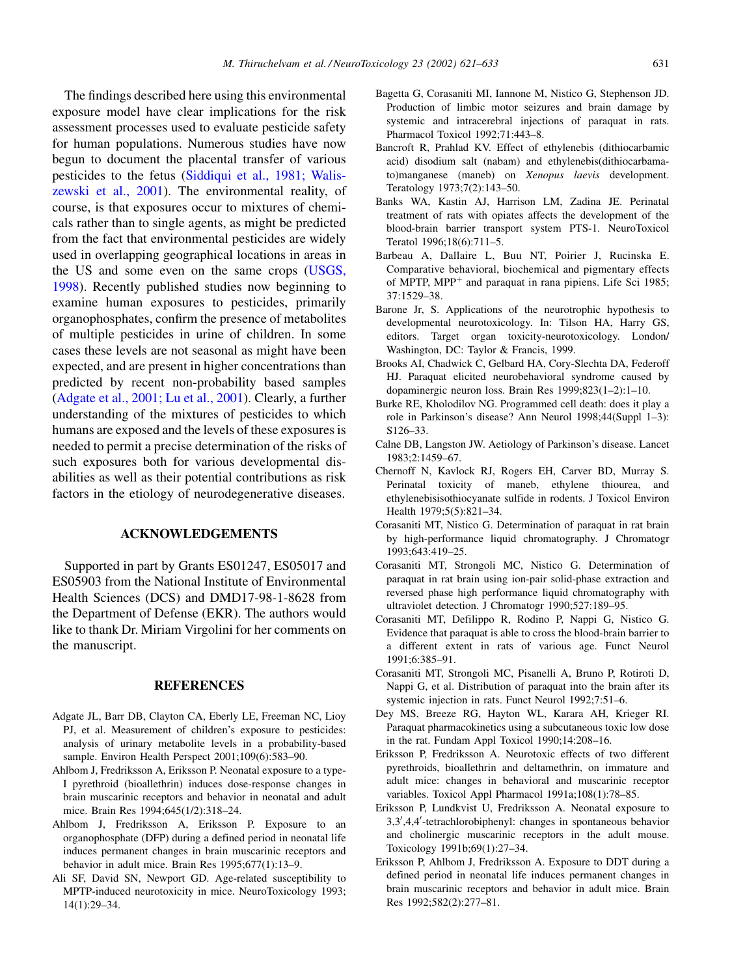<span id="page-10-0"></span>The findings described here using this environmental exposure model have clear implications for the risk assessment processes used to evaluate pesticide safety for human populations. Numerous studies have now begun to document the placental transfer of various pesticides to the fetus [\(Siddiqui et al., 1981; Walis](#page-11-0)[zewski et al., 2001](#page-11-0)). The environmental reality, of course, is that exposures occur to mixtures of chemicals rather than to single agents, as might be predicted from the fact that environmental pesticides are widely used in overlapping geographical locations in areas in the US and some even on the same crops [\(USGS,](#page-11-0) [1998](#page-11-0)). Recently published studies now beginning to examine human exposures to pesticides, primarily organophosphates, confirm the presence of metabolites of multiple pesticides in urine of children. In some cases these levels are not seasonal as might have been expected, and are present in higher concentrations than predicted by recent non-probability based samples (Adgate et al., 2001; Lu et al., 2001). Clearly, a further understanding of the mixtures of pesticides to which humans are exposed and the levels of these exposures is needed to permit a precise determination of the risks of such exposures both for various developmental disabilities as well as their potential contributions as risk factors in the etiology of neurodegenerative diseases.

## ACKNOWLEDGEMENTS

Supported in part by Grants ES01247, ES05017 and ES05903 from the National Institute of Environmental Health Sciences (DCS) and DMD17-98-1-8628 from the Department of Defense (EKR). The authors would like to thank Dr. Miriam Virgolini for her comments on the manuscript.

#### **REFERENCES**

- Adgate JL, Barr DB, Clayton CA, Eberly LE, Freeman NC, Lioy PJ, et al. Measurement of children's exposure to pesticides: analysis of urinary metabolite levels in a probability-based sample. Environ Health Perspect 2001;109(6):583–90.
- Ahlbom J, Fredriksson A, Eriksson P. Neonatal exposure to a type-I pyrethroid (bioallethrin) induces dose-response changes in brain muscarinic receptors and behavior in neonatal and adult mice. Brain Res 1994;645(1/2):318–24.
- Ahlbom J, Fredriksson A, Eriksson P. Exposure to an organophosphate (DFP) during a defined period in neonatal life induces permanent changes in brain muscarinic receptors and behavior in adult mice. Brain Res 1995;677(1):13–9.
- Ali SF, David SN, Newport GD. Age-related susceptibility to MPTP-induced neurotoxicity in mice. NeuroToxicology 1993; 14(1):29–34.
- Bagetta G, Corasaniti MI, Iannone M, Nistico G, Stephenson JD. Production of limbic motor seizures and brain damage by systemic and intracerebral injections of paraquat in rats. Pharmacol Toxicol 1992;71:443–8.
- Bancroft R, Prahlad KV. Effect of ethylenebis (dithiocarbamic acid) disodium salt (nabam) and ethylenebis(dithiocarbamato)manganese (maneb) on Xenopus laevis development. Teratology 1973;7(2):143–50.
- Banks WA, Kastin AJ, Harrison LM, Zadina JE. Perinatal treatment of rats with opiates affects the development of the blood-brain barrier transport system PTS-1. NeuroToxicol Teratol 1996;18(6):711–5.
- Barbeau A, Dallaire L, Buu NT, Poirier J, Rucinska E. Comparative behavioral, biochemical and pigmentary effects of MPTP, MPP<sup>+</sup> and paraquat in rana pipiens. Life Sci 1985; 37:1529–38.
- Barone Jr, S. Applications of the neurotrophic hypothesis to developmental neurotoxicology. In: Tilson HA, Harry GS, editors. Target organ toxicity-neurotoxicology. London/ Washington, DC: Taylor & Francis, 1999.
- Brooks AI, Chadwick C, Gelbard HA, Cory-Slechta DA, Federoff HJ. Paraquat elicited neurobehavioral syndrome caused by dopaminergic neuron loss. Brain Res 1999;823(1–2):1–10.
- Burke RE, Kholodilov NG. Programmed cell death: does it play a role in Parkinson's disease? Ann Neurol 1998;44(Suppl 1–3): S126–33.
- Calne DB, Langston JW. Aetiology of Parkinson's disease. Lancet 1983;2:1459–67.
- Chernoff N, Kavlock RJ, Rogers EH, Carver BD, Murray S. Perinatal toxicity of maneb, ethylene thiourea, and ethylenebisisothiocyanate sulfide in rodents. J Toxicol Environ Health 1979;5(5):821–34.
- Corasaniti MT, Nistico G. Determination of paraquat in rat brain by high-performance liquid chromatography. J Chromatogr 1993;643:419–25.
- Corasaniti MT, Strongoli MC, Nistico G. Determination of paraquat in rat brain using ion-pair solid-phase extraction and reversed phase high performance liquid chromatography with ultraviolet detection. J Chromatogr 1990;527:189–95.
- Corasaniti MT, Defilippo R, Rodino P, Nappi G, Nistico G. Evidence that paraquat is able to cross the blood-brain barrier to a different extent in rats of various age. Funct Neurol 1991;6:385–91.
- Corasaniti MT, Strongoli MC, Pisanelli A, Bruno P, Rotiroti D, Nappi G, et al. Distribution of paraquat into the brain after its systemic injection in rats. Funct Neurol 1992;7:51–6.
- Dey MS, Breeze RG, Hayton WL, Karara AH, Krieger RI. Paraquat pharmacokinetics using a subcutaneous toxic low dose in the rat. Fundam Appl Toxicol 1990;14:208–16.
- Eriksson P, Fredriksson A. Neurotoxic effects of two different pyrethroids, bioallethrin and deltamethrin, on immature and adult mice: changes in behavioral and muscarinic receptor variables. Toxicol Appl Pharmacol 1991a;108(1):78–85.
- Eriksson P, Lundkvist U, Fredriksson A. Neonatal exposure to 3,3',4,4'-tetrachlorobiphenyl: changes in spontaneous behavior and cholinergic muscarinic receptors in the adult mouse. Toxicology 1991b;69(1):27–34.
- Eriksson P, Ahlbom J, Fredriksson A. Exposure to DDT during a defined period in neonatal life induces permanent changes in brain muscarinic receptors and behavior in adult mice. Brain Res 1992;582(2):277–81.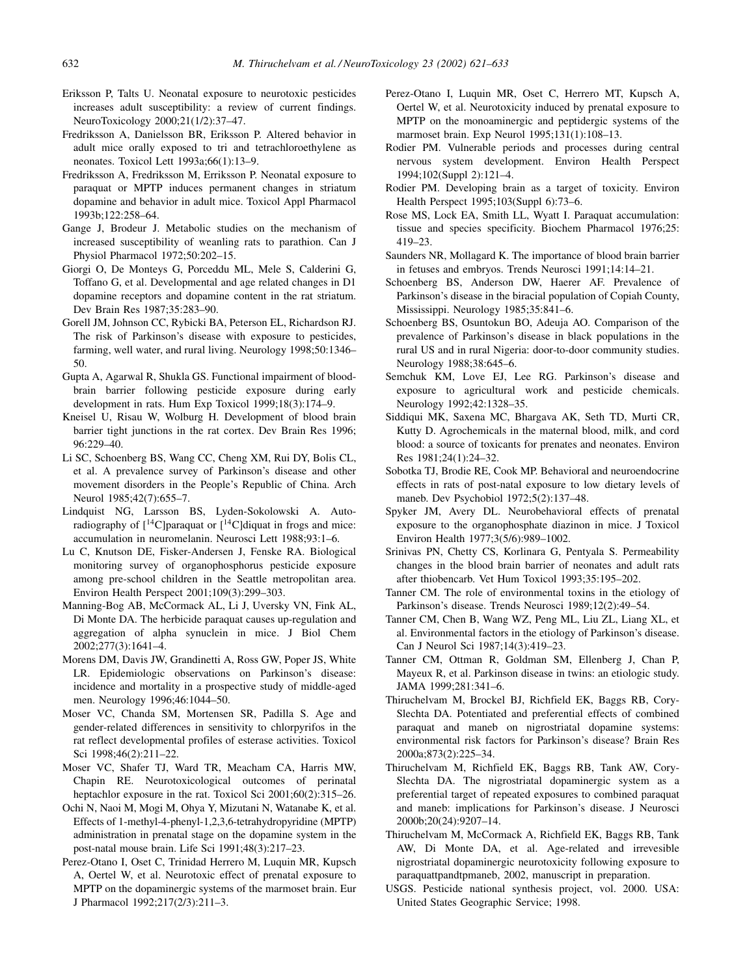- <span id="page-11-0"></span>Eriksson P, Talts U. Neonatal exposure to neurotoxic pesticides increases adult susceptibility: a review of current findings. NeuroToxicology 2000;21(1/2):37–47.
- Fredriksson A, Danielsson BR, Eriksson P. Altered behavior in adult mice orally exposed to tri and tetrachloroethylene as neonates. Toxicol Lett 1993a;66(1):13–9.
- Fredriksson A, Fredriksson M, Erriksson P. Neonatal exposure to paraquat or MPTP induces permanent changes in striatum dopamine and behavior in adult mice. Toxicol Appl Pharmacol 1993b;122:258–64.
- Gange J, Brodeur J. Metabolic studies on the mechanism of increased susceptibility of weanling rats to parathion. Can J Physiol Pharmacol 1972;50:202–15.
- Giorgi O, De Monteys G, Porceddu ML, Mele S, Calderini G, Toffano G, et al. Developmental and age related changes in D1 dopamine receptors and dopamine content in the rat striatum. Dev Brain Res 1987;35:283–90.
- Gorell JM, Johnson CC, Rybicki BA, Peterson EL, Richardson RJ. The risk of Parkinson's disease with exposure to pesticides, farming, well water, and rural living. Neurology 1998;50:1346– 50.
- Gupta A, Agarwal R, Shukla GS. Functional impairment of bloodbrain barrier following pesticide exposure during early development in rats. Hum Exp Toxicol 1999;18(3):174–9.
- Kneisel U, Risau W, Wolburg H. Development of blood brain barrier tight junctions in the rat cortex. Dev Brain Res 1996; 96:229–40.
- Li SC, Schoenberg BS, Wang CC, Cheng XM, Rui DY, Bolis CL, et al. A prevalence survey of Parkinson's disease and other movement disorders in the People's Republic of China. Arch Neurol 1985;42(7):655–7.
- Lindquist NG, Larsson BS, Lyden-Sokolowski A. Autoradiography of  $[{}^{14}C]$ paraquat or  $[{}^{14}C]$ diquat in frogs and mice: accumulation in neuromelanin. Neurosci Lett 1988;93:1–6.
- Lu C, Knutson DE, Fisker-Andersen J, Fenske RA. Biological monitoring survey of organophosphorus pesticide exposure among pre-school children in the Seattle metropolitan area. Environ Health Perspect 2001;109(3):299–303.
- Manning-Bog AB, McCormack AL, Li J, Uversky VN, Fink AL, Di Monte DA. The herbicide paraquat causes up-regulation and aggregation of alpha synuclein in mice. J Biol Chem 2002;277(3):1641–4.
- Morens DM, Davis JW, Grandinetti A, Ross GW, Poper JS, White LR. Epidemiologic observations on Parkinson's disease: incidence and mortality in a prospective study of middle-aged men. Neurology 1996;46:1044–50.
- Moser VC, Chanda SM, Mortensen SR, Padilla S. Age and gender-related differences in sensitivity to chlorpyrifos in the rat reflect developmental profiles of esterase activities. Toxicol Sci 1998;46(2):211–22.
- Moser VC, Shafer TJ, Ward TR, Meacham CA, Harris MW, Chapin RE. Neurotoxicological outcomes of perinatal heptachlor exposure in the rat. Toxicol Sci 2001;60(2):315-26.
- Ochi N, Naoi M, Mogi M, Ohya Y, Mizutani N, Watanabe K, et al. Effects of 1-methyl-4-phenyl-1,2,3,6-tetrahydropyridine (MPTP) administration in prenatal stage on the dopamine system in the post-natal mouse brain. Life Sci 1991;48(3):217–23.
- Perez-Otano I, Oset C, Trinidad Herrero M, Luquin MR, Kupsch A, Oertel W, et al. Neurotoxic effect of prenatal exposure to MPTP on the dopaminergic systems of the marmoset brain. Eur J Pharmacol 1992;217(2/3):211–3.
- Perez-Otano I, Luquin MR, Oset C, Herrero MT, Kupsch A, Oertel W, et al. Neurotoxicity induced by prenatal exposure to MPTP on the monoaminergic and peptidergic systems of the marmoset brain. Exp Neurol 1995;131(1):108–13.
- Rodier PM. Vulnerable periods and processes during central nervous system development. Environ Health Perspect 1994;102(Suppl 2):121–4.
- Rodier PM. Developing brain as a target of toxicity. Environ Health Perspect 1995;103(Suppl 6):73–6.
- Rose MS, Lock EA, Smith LL, Wyatt I. Paraquat accumulation: tissue and species specificity. Biochem Pharmacol 1976;25: 419–23.
- Saunders NR, Mollagard K. The importance of blood brain barrier in fetuses and embryos. Trends Neurosci 1991;14:14–21.
- Schoenberg BS, Anderson DW, Haerer AF. Prevalence of Parkinson's disease in the biracial population of Copiah County, Mississippi. Neurology 1985;35:841–6.
- Schoenberg BS, Osuntokun BO, Adeuja AO. Comparison of the prevalence of Parkinson's disease in black populations in the rural US and in rural Nigeria: door-to-door community studies. Neurology 1988;38:645–6.
- Semchuk KM, Love EJ, Lee RG. Parkinson's disease and exposure to agricultural work and pesticide chemicals. Neurology 1992;42:1328–35.
- Siddiqui MK, Saxena MC, Bhargava AK, Seth TD, Murti CR, Kutty D. Agrochemicals in the maternal blood, milk, and cord blood: a source of toxicants for prenates and neonates. Environ Res 1981;24(1):24–32.
- Sobotka TJ, Brodie RE, Cook MP. Behavioral and neuroendocrine effects in rats of post-natal exposure to low dietary levels of maneb. Dev Psychobiol 1972;5(2):137–48.
- Spyker JM, Avery DL. Neurobehavioral effects of prenatal exposure to the organophosphate diazinon in mice. J Toxicol Environ Health 1977;3(5/6):989–1002.
- Srinivas PN, Chetty CS, Korlinara G, Pentyala S. Permeability changes in the blood brain barrier of neonates and adult rats after thiobencarb. Vet Hum Toxicol 1993;35:195–202.
- Tanner CM. The role of environmental toxins in the etiology of Parkinson's disease. Trends Neurosci 1989;12(2):49–54.
- Tanner CM, Chen B, Wang WZ, Peng ML, Liu ZL, Liang XL, et al. Environmental factors in the etiology of Parkinson's disease. Can J Neurol Sci 1987;14(3):419–23.
- Tanner CM, Ottman R, Goldman SM, Ellenberg J, Chan P, Mayeux R, et al. Parkinson disease in twins: an etiologic study. JAMA 1999;281:341–6.
- Thiruchelvam M, Brockel BJ, Richfield EK, Baggs RB, Cory-Slechta DA. Potentiated and preferential effects of combined paraquat and maneb on nigrostriatal dopamine systems: environmental risk factors for Parkinson's disease? Brain Res 2000a;873(2):225–34.
- Thiruchelvam M, Richfield EK, Baggs RB, Tank AW, Cory-Slechta DA. The nigrostriatal dopaminergic system as a preferential target of repeated exposures to combined paraquat and maneb: implications for Parkinson's disease. J Neurosci 2000b;20(24):9207–14.
- Thiruchelvam M, McCormack A, Richfield EK, Baggs RB, Tank AW, Di Monte DA, et al. Age-related and irrevesible nigrostriatal dopaminergic neurotoxicity following exposure to paraquattpandtpmaneb, 2002, manuscript in preparation.
- USGS. Pesticide national synthesis project, vol. 2000. USA: United States Geographic Service; 1998.